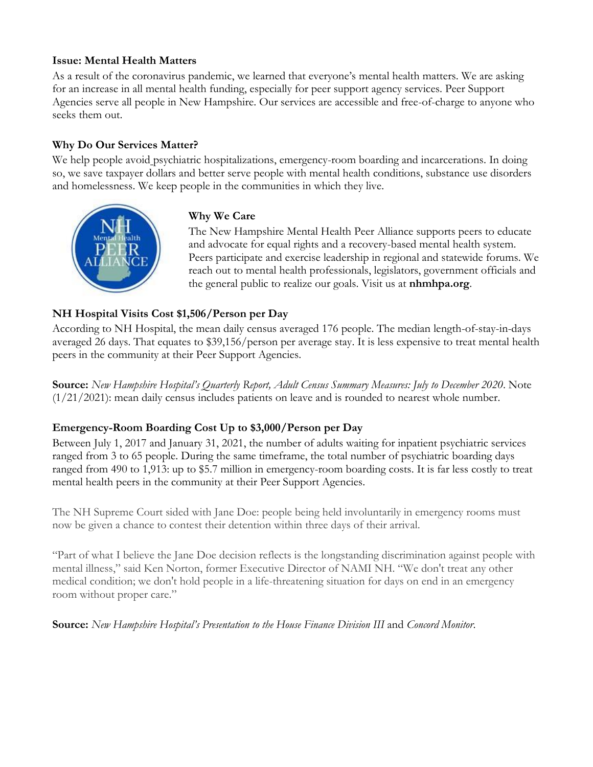## **Issue: Mental Health Matters**

As a result of the coronavirus pandemic, we learned that everyone's mental health matters. We are asking for an increase in all mental health funding, especially for peer support agency services. Peer Support Agencies serve all people in New Hampshire. Our services are accessible and free-of-charge to anyone who seeks them out.

# **Why Do Our Services Matter?**

We help people avoid psychiatric hospitalizations, emergency-room boarding and incarcerations. In doing so, we save taxpayer dollars and better serve people with mental health conditions, substance use disorders and homelessness. We keep people in the communities in which they live.



## **Why We Care**

The New Hampshire Mental Health Peer Alliance supports peers to educate and advocate for equal rights and a recovery-based mental health system. Peers participate and exercise leadership in regional and statewide forums. We reach out to mental health professionals, legislators, government officials and the general public to realize our goals. Visit us at **nhmhpa.org**.

# **NH Hospital Visits Cost \$1,506/Person per Day**

According to NH Hospital, the mean daily census averaged 176 people. The median length-of-stay-in-days averaged 26 days. That equates to \$39,156/person per average stay. It is less expensive to treat mental health peers in the community at their Peer Support Agencies.

**Source:** *New Hampshire Hospital's Quarterly Report, Adult Census Summary Measures: July to December 2020*. Note (1/21/2021): mean daily census includes patients on leave and is rounded to nearest whole number.

## **Emergency-Room Boarding Cost Up to \$3,000/Person per Day**

Between July 1, 2017 and January 31, 2021, the number of adults waiting for inpatient psychiatric services ranged from 3 to 65 people. During the same timeframe, the total number of psychiatric boarding days ranged from 490 to 1,913: up to \$5.7 million in emergency-room boarding costs. It is far less costly to treat mental health peers in the community at their Peer Support Agencies.

The NH Supreme Court sided with Jane Doe: people being held involuntarily in emergency rooms must now be given a chance to contest their detention within three days of their arrival.

"Part of what I believe the Jane Doe decision reflects is the longstanding discrimination against people with mental illness," said Ken Norton, former Executive Director of NAMI NH. "We don't treat any other medical condition; we don't hold people in a life-threatening situation for days on end in an emergency room without proper care."

**Source:** *New Hampshire Hospital's Presentation to the House Finance Division III* and *Concord Monitor*.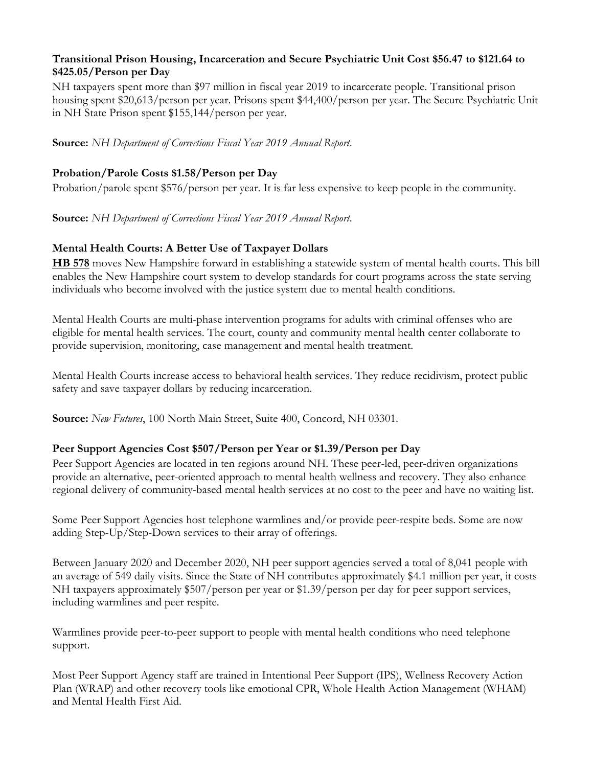### **Transitional Prison Housing, Incarceration and Secure Psychiatric Unit Cost \$56.47 to \$121.64 to \$425.05/Person per Day**

NH taxpayers spent more than \$97 million in fiscal year 2019 to incarcerate people. Transitional prison housing spent \$20,613/person per year. Prisons spent \$44,400/person per year. The Secure Psychiatric Unit in NH State Prison spent \$155,144/person per year.

**Source:** *NH Department of Corrections Fiscal Year 2019 Annual Report*.

# **Probation/Parole Costs \$1.58/Person per Day**

Probation/parole spent \$576/person per year. It is far less expensive to keep people in the community.

**Source:** *NH Department of Corrections Fiscal Year 2019 Annual Report*.

# **Mental Health Courts: A Better Use of Taxpayer Dollars**

**[HB 578](http://gencourt.state.nh.us/bill_status/billText.aspx?sy=2021&id=709&txtFormat=html)** moves New Hampshire forward in establishing a statewide system of mental health courts. This bill enables the New Hampshire court system to develop standards for court programs across the state serving individuals who become involved with the justice system due to mental health conditions.

Mental Health Courts are multi-phase intervention programs for adults with criminal offenses who are eligible for mental health services. The court, county and community mental health center collaborate to provide supervision, monitoring, case management and mental health treatment.

Mental Health Courts increase access to behavioral health services. They reduce recidivism, protect public safety and save taxpayer dollars by reducing incarceration.

**Source:** *New Futures*, 100 North Main Street, Suite 400, Concord, NH 03301.

## **Peer Support Agencies Cost \$507/Person per Year or \$1.39/Person per Day**

Peer Support Agencies are located in ten regions around NH. These peer-led, peer-driven organizations provide an alternative, peer-oriented approach to mental health wellness and recovery. They also enhance regional delivery of community-based mental health services at no cost to the peer and have no waiting list.

Some Peer Support Agencies host telephone warmlines and/or provide peer-respite beds. Some are now adding Step-Up/Step-Down services to their array of offerings.

Between January 2020 and December 2020, NH peer support agencies served a total of 8,041 people with an average of 549 daily visits. Since the State of NH contributes approximately \$4.1 million per year, it costs NH taxpayers approximately \$507/person per year or \$1.39/person per day for peer support services, including warmlines and peer respite.

Warmlines provide peer-to-peer support to people with mental health conditions who need telephone support.

Most Peer Support Agency staff are trained in Intentional Peer Support (IPS), Wellness Recovery Action Plan (WRAP) and other recovery tools like emotional CPR, Whole Health Action Management (WHAM) and Mental Health First Aid.